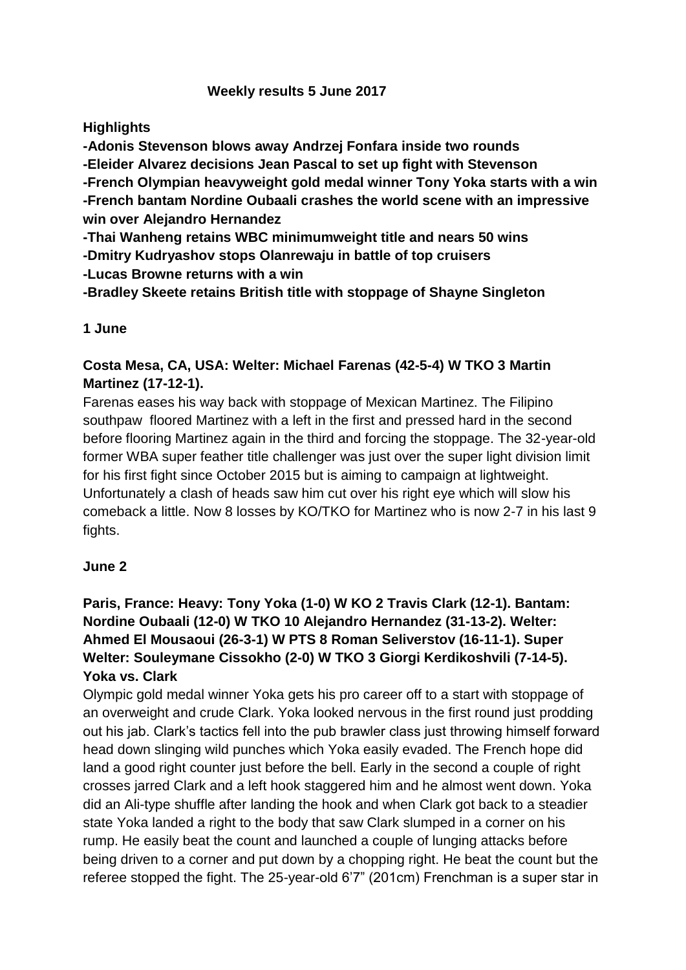## **Weekly results 5 June 2017**

## **Highlights**

**-Adonis Stevenson blows away Andrzej Fonfara inside two rounds -Eleider Alvarez decisions Jean Pascal to set up fight with Stevenson -French Olympian heavyweight gold medal winner Tony Yoka starts with a win -French bantam Nordine Oubaali crashes the world scene with an impressive win over Alejandro Hernandez**

**-Thai Wanheng retains WBC minimumweight title and nears 50 wins**

**-Dmitry Kudryashov stops Olanrewaju in battle of top cruisers**

**-Lucas Browne returns with a win**

**-Bradley Skeete retains British title with stoppage of Shayne Singleton**

## **1 June**

## **Costa Mesa, CA, USA: Welter: Michael Farenas (42-5-4) W TKO 3 Martin Martinez (17-12-1).**

Farenas eases his way back with stoppage of Mexican Martinez. The Filipino southpaw floored Martinez with a left in the first and pressed hard in the second before flooring Martinez again in the third and forcing the stoppage. The 32-year-old former WBA super feather title challenger was just over the super light division limit for his first fight since October 2015 but is aiming to campaign at lightweight. Unfortunately a clash of heads saw him cut over his right eye which will slow his comeback a little. Now 8 losses by KO/TKO for Martinez who is now 2-7 in his last 9 fights.

## **June 2**

## **Paris, France: Heavy: Tony Yoka (1-0) W KO 2 Travis Clark (12-1). Bantam: Nordine Oubaali (12-0) W TKO 10 Alejandro Hernandez (31-13-2). Welter: Ahmed El Mousaoui (26-3-1) W PTS 8 Roman Seliverstov (16-11-1). Super Welter: Souleymane Cissokho (2-0) W TKO 3 Giorgi Kerdikoshvili (7-14-5). Yoka vs. Clark**

Olympic gold medal winner Yoka gets his pro career off to a start with stoppage of an overweight and crude Clark. Yoka looked nervous in the first round just prodding out his jab. Clark's tactics fell into the pub brawler class just throwing himself forward head down slinging wild punches which Yoka easily evaded. The French hope did land a good right counter just before the bell. Early in the second a couple of right crosses jarred Clark and a left hook staggered him and he almost went down. Yoka did an Ali-type shuffle after landing the hook and when Clark got back to a steadier state Yoka landed a right to the body that saw Clark slumped in a corner on his rump. He easily beat the count and launched a couple of lunging attacks before being driven to a corner and put down by a chopping right. He beat the count but the referee stopped the fight. The 25-year-old 6'7" (201cm) Frenchman is a super star in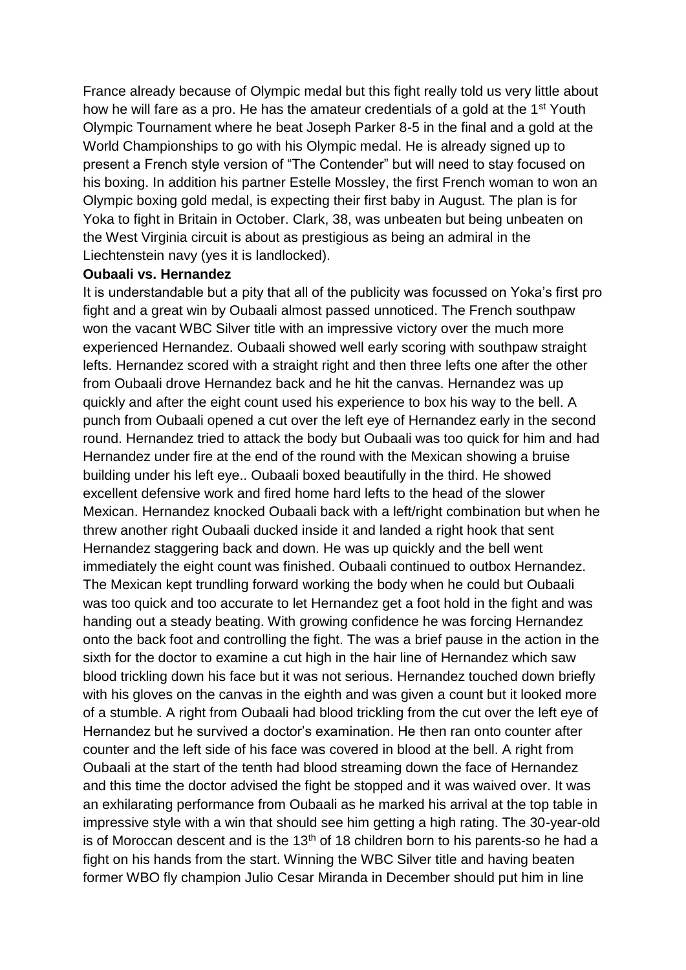France already because of Olympic medal but this fight really told us very little about how he will fare as a pro. He has the amateur credentials of a gold at the 1<sup>st</sup> Youth Olympic Tournament where he beat Joseph Parker 8-5 in the final and a gold at the World Championships to go with his Olympic medal. He is already signed up to present a French style version of "The Contender" but will need to stay focused on his boxing. In addition his partner Estelle Mossley, the first French woman to won an Olympic boxing gold medal, is expecting their first baby in August. The plan is for Yoka to fight in Britain in October. Clark, 38, was unbeaten but being unbeaten on the West Virginia circuit is about as prestigious as being an admiral in the Liechtenstein navy (yes it is landlocked).

### **Oubaali vs. Hernandez**

It is understandable but a pity that all of the publicity was focussed on Yoka's first pro fight and a great win by Oubaali almost passed unnoticed. The French southpaw won the vacant WBC Silver title with an impressive victory over the much more experienced Hernandez. Oubaali showed well early scoring with southpaw straight lefts. Hernandez scored with a straight right and then three lefts one after the other from Oubaali drove Hernandez back and he hit the canvas. Hernandez was up quickly and after the eight count used his experience to box his way to the bell. A punch from Oubaali opened a cut over the left eye of Hernandez early in the second round. Hernandez tried to attack the body but Oubaali was too quick for him and had Hernandez under fire at the end of the round with the Mexican showing a bruise building under his left eye.. Oubaali boxed beautifully in the third. He showed excellent defensive work and fired home hard lefts to the head of the slower Mexican. Hernandez knocked Oubaali back with a left/right combination but when he threw another right Oubaali ducked inside it and landed a right hook that sent Hernandez staggering back and down. He was up quickly and the bell went immediately the eight count was finished. Oubaali continued to outbox Hernandez. The Mexican kept trundling forward working the body when he could but Oubaali was too quick and too accurate to let Hernandez get a foot hold in the fight and was handing out a steady beating. With growing confidence he was forcing Hernandez onto the back foot and controlling the fight. The was a brief pause in the action in the sixth for the doctor to examine a cut high in the hair line of Hernandez which saw blood trickling down his face but it was not serious. Hernandez touched down briefly with his gloves on the canvas in the eighth and was given a count but it looked more of a stumble. A right from Oubaali had blood trickling from the cut over the left eye of Hernandez but he survived a doctor's examination. He then ran onto counter after counter and the left side of his face was covered in blood at the bell. A right from Oubaali at the start of the tenth had blood streaming down the face of Hernandez and this time the doctor advised the fight be stopped and it was waived over. It was an exhilarating performance from Oubaali as he marked his arrival at the top table in impressive style with a win that should see him getting a high rating. The 30-year-old is of Moroccan descent and is the 13<sup>th</sup> of 18 children born to his parents-so he had a fight on his hands from the start. Winning the WBC Silver title and having beaten former WBO fly champion Julio Cesar Miranda in December should put him in line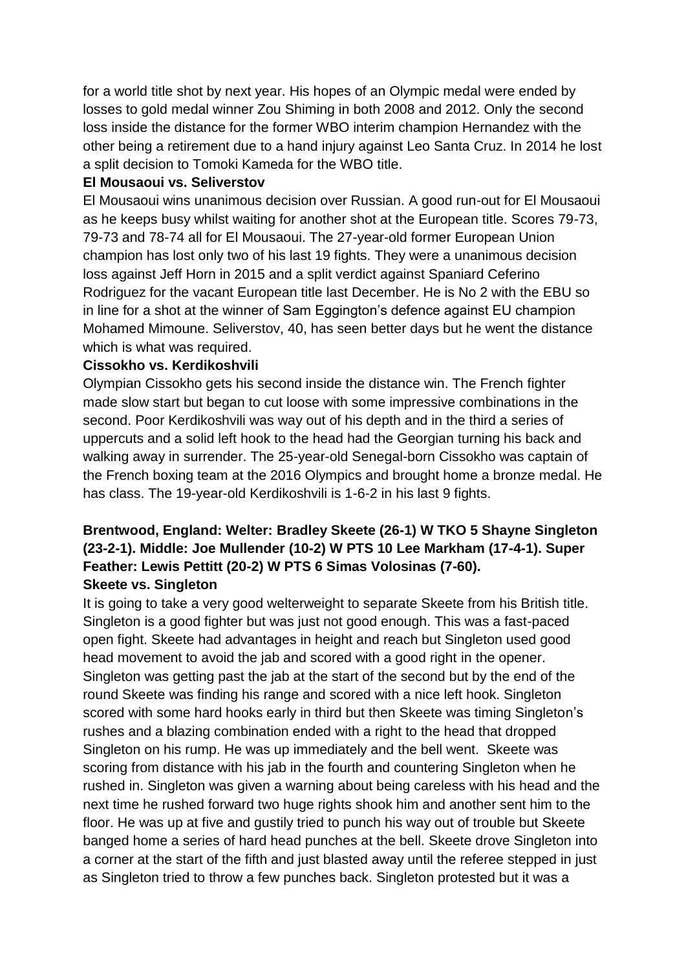for a world title shot by next year. His hopes of an Olympic medal were ended by losses to gold medal winner Zou Shiming in both 2008 and 2012. Only the second loss inside the distance for the former WBO interim champion Hernandez with the other being a retirement due to a hand injury against Leo Santa Cruz. In 2014 he lost a split decision to Tomoki Kameda for the WBO title.

### **El Mousaoui vs. Seliverstov**

El Mousaoui wins unanimous decision over Russian. A good run-out for El Mousaoui as he keeps busy whilst waiting for another shot at the European title. Scores 79-73, 79-73 and 78-74 all for El Mousaoui. The 27-year-old former European Union champion has lost only two of his last 19 fights. They were a unanimous decision loss against Jeff Horn in 2015 and a split verdict against Spaniard Ceferino Rodriguez for the vacant European title last December. He is No 2 with the EBU so in line for a shot at the winner of Sam Eggington's defence against EU champion Mohamed Mimoune. Seliverstov, 40, has seen better days but he went the distance which is what was required.

## **Cissokho vs. Kerdikoshvili**

Olympian Cissokho gets his second inside the distance win. The French fighter made slow start but began to cut loose with some impressive combinations in the second. Poor Kerdikoshvili was way out of his depth and in the third a series of uppercuts and a solid left hook to the head had the Georgian turning his back and walking away in surrender. The 25-year-old Senegal-born Cissokho was captain of the French boxing team at the 2016 Olympics and brought home a bronze medal. He has class. The 19-year-old Kerdikoshvili is 1-6-2 in his last 9 fights.

# **Brentwood, England: Welter: Bradley Skeete (26-1) W TKO 5 Shayne Singleton (23-2-1). Middle: Joe Mullender (10-2) W PTS 10 Lee Markham (17-4-1). Super Feather: Lewis Pettitt (20-2) W PTS 6 Simas Volosinas (7-60).**

## **Skeete vs. Singleton**

It is going to take a very good welterweight to separate Skeete from his British title. Singleton is a good fighter but was just not good enough. This was a fast-paced open fight. Skeete had advantages in height and reach but Singleton used good head movement to avoid the jab and scored with a good right in the opener. Singleton was getting past the jab at the start of the second but by the end of the round Skeete was finding his range and scored with a nice left hook. Singleton scored with some hard hooks early in third but then Skeete was timing Singleton's rushes and a blazing combination ended with a right to the head that dropped Singleton on his rump. He was up immediately and the bell went. Skeete was scoring from distance with his jab in the fourth and countering Singleton when he rushed in. Singleton was given a warning about being careless with his head and the next time he rushed forward two huge rights shook him and another sent him to the floor. He was up at five and gustily tried to punch his way out of trouble but Skeete banged home a series of hard head punches at the bell. Skeete drove Singleton into a corner at the start of the fifth and just blasted away until the referee stepped in just as Singleton tried to throw a few punches back. Singleton protested but it was a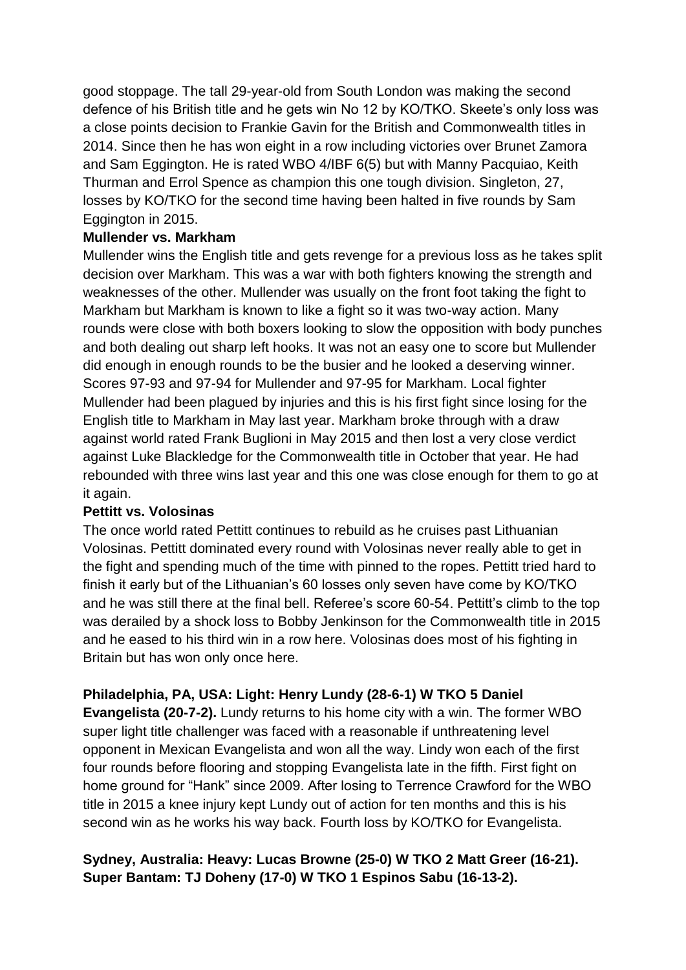good stoppage. The tall 29-year-old from South London was making the second defence of his British title and he gets win No 12 by KO/TKO. Skeete's only loss was a close points decision to Frankie Gavin for the British and Commonwealth titles in 2014. Since then he has won eight in a row including victories over Brunet Zamora and Sam Eggington. He is rated WBO 4/IBF 6(5) but with Manny Pacquiao, Keith Thurman and Errol Spence as champion this one tough division. Singleton, 27, losses by KO/TKO for the second time having been halted in five rounds by Sam Eggington in 2015.

## **Mullender vs. Markham**

Mullender wins the English title and gets revenge for a previous loss as he takes split decision over Markham. This was a war with both fighters knowing the strength and weaknesses of the other. Mullender was usually on the front foot taking the fight to Markham but Markham is known to like a fight so it was two-way action. Many rounds were close with both boxers looking to slow the opposition with body punches and both dealing out sharp left hooks. It was not an easy one to score but Mullender did enough in enough rounds to be the busier and he looked a deserving winner. Scores 97-93 and 97-94 for Mullender and 97-95 for Markham. Local fighter Mullender had been plagued by injuries and this is his first fight since losing for the English title to Markham in May last year. Markham broke through with a draw against world rated Frank Buglioni in May 2015 and then lost a very close verdict against Luke Blackledge for the Commonwealth title in October that year. He had rebounded with three wins last year and this one was close enough for them to go at it again.

### **Pettitt vs. Volosinas**

The once world rated Pettitt continues to rebuild as he cruises past Lithuanian Volosinas. Pettitt dominated every round with Volosinas never really able to get in the fight and spending much of the time with pinned to the ropes. Pettitt tried hard to finish it early but of the Lithuanian's 60 losses only seven have come by KO/TKO and he was still there at the final bell. Referee's score 60-54. Pettitt's climb to the top was derailed by a shock loss to Bobby Jenkinson for the Commonwealth title in 2015 and he eased to his third win in a row here. Volosinas does most of his fighting in Britain but has won only once here.

## **Philadelphia, PA, USA: Light: Henry Lundy (28-6-1) W TKO 5 Daniel**

**Evangelista (20-7-2).** Lundy returns to his home city with a win. The former WBO super light title challenger was faced with a reasonable if unthreatening level opponent in Mexican Evangelista and won all the way. Lindy won each of the first four rounds before flooring and stopping Evangelista late in the fifth. First fight on home ground for "Hank" since 2009. After losing to Terrence Crawford for the WBO title in 2015 a knee injury kept Lundy out of action for ten months and this is his second win as he works his way back. Fourth loss by KO/TKO for Evangelista.

## **Sydney, Australia: Heavy: Lucas Browne (25-0) W TKO 2 Matt Greer (16-21). Super Bantam: TJ Doheny (17-0) W TKO 1 Espinos Sabu (16-13-2).**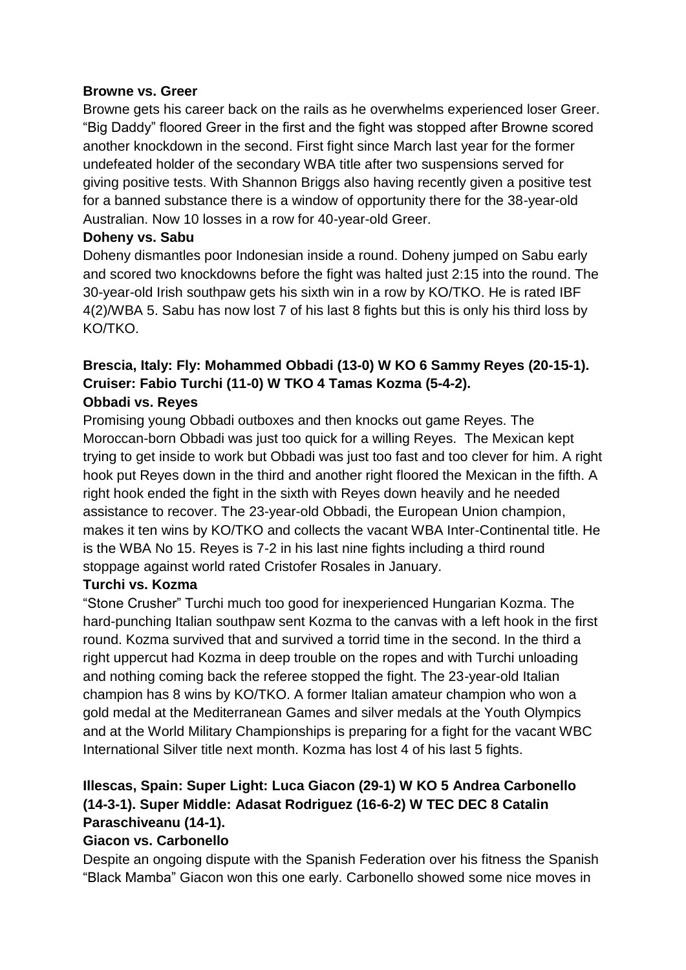### **Browne vs. Greer**

Browne gets his career back on the rails as he overwhelms experienced loser Greer. "Big Daddy" floored Greer in the first and the fight was stopped after Browne scored another knockdown in the second. First fight since March last year for the former undefeated holder of the secondary WBA title after two suspensions served for giving positive tests. With Shannon Briggs also having recently given a positive test for a banned substance there is a window of opportunity there for the 38-year-old Australian. Now 10 losses in a row for 40-year-old Greer.

## **Doheny vs. Sabu**

Doheny dismantles poor Indonesian inside a round. Doheny jumped on Sabu early and scored two knockdowns before the fight was halted just 2:15 into the round. The 30-year-old Irish southpaw gets his sixth win in a row by KO/TKO. He is rated IBF 4(2)/WBA 5. Sabu has now lost 7 of his last 8 fights but this is only his third loss by KO/TKO.

## **Brescia, Italy: Fly: Mohammed Obbadi (13-0) W KO 6 Sammy Reyes (20-15-1). Cruiser: Fabio Turchi (11-0) W TKO 4 Tamas Kozma (5-4-2). Obbadi vs. Reyes**

Promising young Obbadi outboxes and then knocks out game Reyes. The Moroccan-born Obbadi was just too quick for a willing Reyes. The Mexican kept trying to get inside to work but Obbadi was just too fast and too clever for him. A right hook put Reyes down in the third and another right floored the Mexican in the fifth. A right hook ended the fight in the sixth with Reyes down heavily and he needed assistance to recover. The 23-year-old Obbadi, the European Union champion, makes it ten wins by KO/TKO and collects the vacant WBA Inter-Continental title. He is the WBA No 15. Reyes is 7-2 in his last nine fights including a third round stoppage against world rated Cristofer Rosales in January.

## **Turchi vs. Kozma**

"Stone Crusher" Turchi much too good for inexperienced Hungarian Kozma. The hard-punching Italian southpaw sent Kozma to the canvas with a left hook in the first round. Kozma survived that and survived a torrid time in the second. In the third a right uppercut had Kozma in deep trouble on the ropes and with Turchi unloading and nothing coming back the referee stopped the fight. The 23-year-old Italian champion has 8 wins by KO/TKO. A former Italian amateur champion who won a gold medal at the Mediterranean Games and silver medals at the Youth Olympics and at the World Military Championships is preparing for a fight for the vacant WBC International Silver title next month. Kozma has lost 4 of his last 5 fights.

## **Illescas, Spain: Super Light: Luca Giacon (29-1) W KO 5 Andrea Carbonello (14-3-1). Super Middle: Adasat Rodriguez (16-6-2) W TEC DEC 8 Catalin Paraschiveanu (14-1).**

## **Giacon vs. Carbonello**

Despite an ongoing dispute with the Spanish Federation over his fitness the Spanish "Black Mamba" Giacon won this one early. Carbonello showed some nice moves in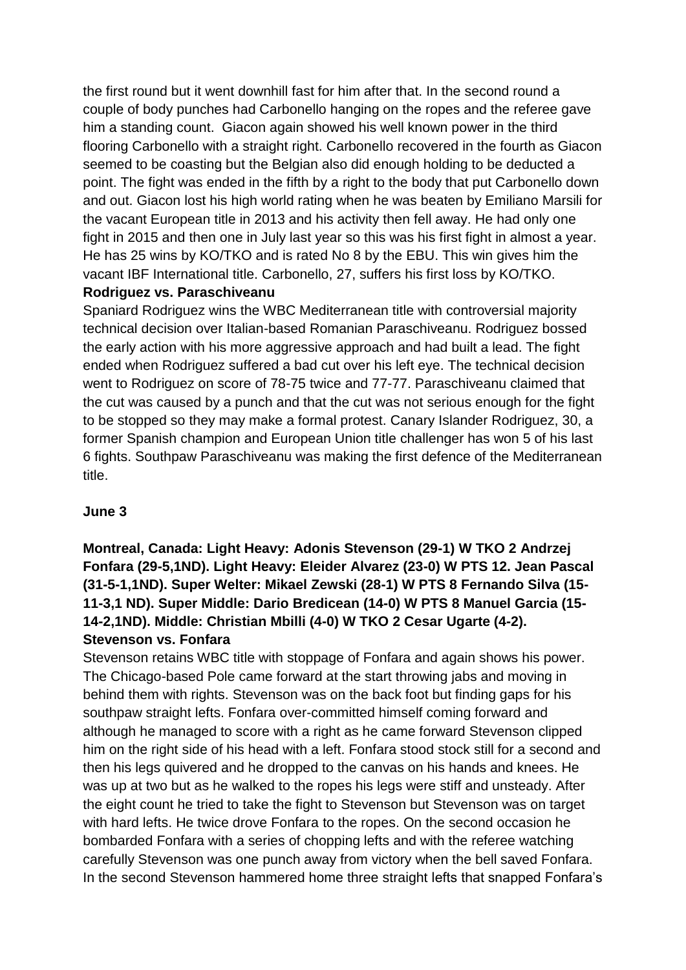the first round but it went downhill fast for him after that. In the second round a couple of body punches had Carbonello hanging on the ropes and the referee gave him a standing count. Giacon again showed his well known power in the third flooring Carbonello with a straight right. Carbonello recovered in the fourth as Giacon seemed to be coasting but the Belgian also did enough holding to be deducted a point. The fight was ended in the fifth by a right to the body that put Carbonello down and out. Giacon lost his high world rating when he was beaten by Emiliano Marsili for the vacant European title in 2013 and his activity then fell away. He had only one fight in 2015 and then one in July last year so this was his first fight in almost a year. He has 25 wins by KO/TKO and is rated No 8 by the EBU. This win gives him the vacant IBF International title. Carbonello, 27, suffers his first loss by KO/TKO.

## **Rodriguez vs. Paraschiveanu**

Spaniard Rodriguez wins the WBC Mediterranean title with controversial majority technical decision over Italian-based Romanian Paraschiveanu. Rodriguez bossed the early action with his more aggressive approach and had built a lead. The fight ended when Rodriguez suffered a bad cut over his left eye. The technical decision went to Rodriguez on score of 78-75 twice and 77-77. Paraschiveanu claimed that the cut was caused by a punch and that the cut was not serious enough for the fight to be stopped so they may make a formal protest. Canary Islander Rodriguez, 30, a former Spanish champion and European Union title challenger has won 5 of his last 6 fights. Southpaw Paraschiveanu was making the first defence of the Mediterranean title.

## **June 3**

**Montreal, Canada: Light Heavy: Adonis Stevenson (29-1) W TKO 2 Andrzej Fonfara (29-5,1ND). Light Heavy: Eleider Alvarez (23-0) W PTS 12. Jean Pascal (31-5-1,1ND). Super Welter: Mikael Zewski (28-1) W PTS 8 Fernando Silva (15- 11-3,1 ND). Super Middle: Dario Bredicean (14-0) W PTS 8 Manuel Garcia (15- 14-2,1ND). Middle: Christian Mbilli (4-0) W TKO 2 Cesar Ugarte (4-2). Stevenson vs. Fonfara**

Stevenson retains WBC title with stoppage of Fonfara and again shows his power. The Chicago-based Pole came forward at the start throwing jabs and moving in behind them with rights. Stevenson was on the back foot but finding gaps for his southpaw straight lefts. Fonfara over-committed himself coming forward and although he managed to score with a right as he came forward Stevenson clipped him on the right side of his head with a left. Fonfara stood stock still for a second and then his legs quivered and he dropped to the canvas on his hands and knees. He was up at two but as he walked to the ropes his legs were stiff and unsteady. After the eight count he tried to take the fight to Stevenson but Stevenson was on target with hard lefts. He twice drove Fonfara to the ropes. On the second occasion he bombarded Fonfara with a series of chopping lefts and with the referee watching carefully Stevenson was one punch away from victory when the bell saved Fonfara. In the second Stevenson hammered home three straight lefts that snapped Fonfara's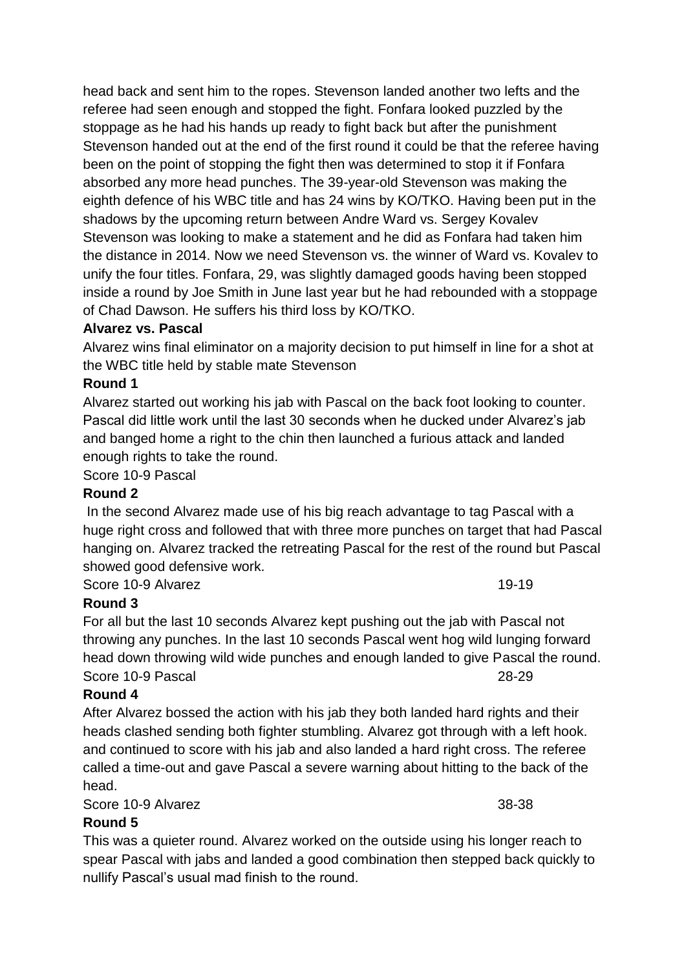head back and sent him to the ropes. Stevenson landed another two lefts and the referee had seen enough and stopped the fight. Fonfara looked puzzled by the stoppage as he had his hands up ready to fight back but after the punishment Stevenson handed out at the end of the first round it could be that the referee having been on the point of stopping the fight then was determined to stop it if Fonfara absorbed any more head punches. The 39-year-old Stevenson was making the eighth defence of his WBC title and has 24 wins by KO/TKO. Having been put in the shadows by the upcoming return between Andre Ward vs. Sergey Kovalev Stevenson was looking to make a statement and he did as Fonfara had taken him the distance in 2014. Now we need Stevenson vs. the winner of Ward vs. Kovalev to unify the four titles. Fonfara, 29, was slightly damaged goods having been stopped inside a round by Joe Smith in June last year but he had rebounded with a stoppage of Chad Dawson. He suffers his third loss by KO/TKO.

### **Alvarez vs. Pascal**

Alvarez wins final eliminator on a majority decision to put himself in line for a shot at the WBC title held by stable mate Stevenson

### **Round 1**

Alvarez started out working his jab with Pascal on the back foot looking to counter. Pascal did little work until the last 30 seconds when he ducked under Alvarez's jab and banged home a right to the chin then launched a furious attack and landed enough rights to take the round.

Score 10-9 Pascal

### **Round 2**

In the second Alvarez made use of his big reach advantage to tag Pascal with a huge right cross and followed that with three more punches on target that had Pascal hanging on. Alvarez tracked the retreating Pascal for the rest of the round but Pascal showed good defensive work.

Score 10-9 Alvarez 19-19

## **Round 3**

For all but the last 10 seconds Alvarez kept pushing out the jab with Pascal not throwing any punches. In the last 10 seconds Pascal went hog wild lunging forward head down throwing wild wide punches and enough landed to give Pascal the round. Score 10-9 Pascal 28-29

## **Round 4**

After Alvarez bossed the action with his jab they both landed hard rights and their heads clashed sending both fighter stumbling. Alvarez got through with a left hook. and continued to score with his jab and also landed a hard right cross. The referee called a time-out and gave Pascal a severe warning about hitting to the back of the head.

Score 10-9 Alvarez 38-38

**Round 5**

This was a quieter round. Alvarez worked on the outside using his longer reach to spear Pascal with jabs and landed a good combination then stepped back quickly to nullify Pascal's usual mad finish to the round.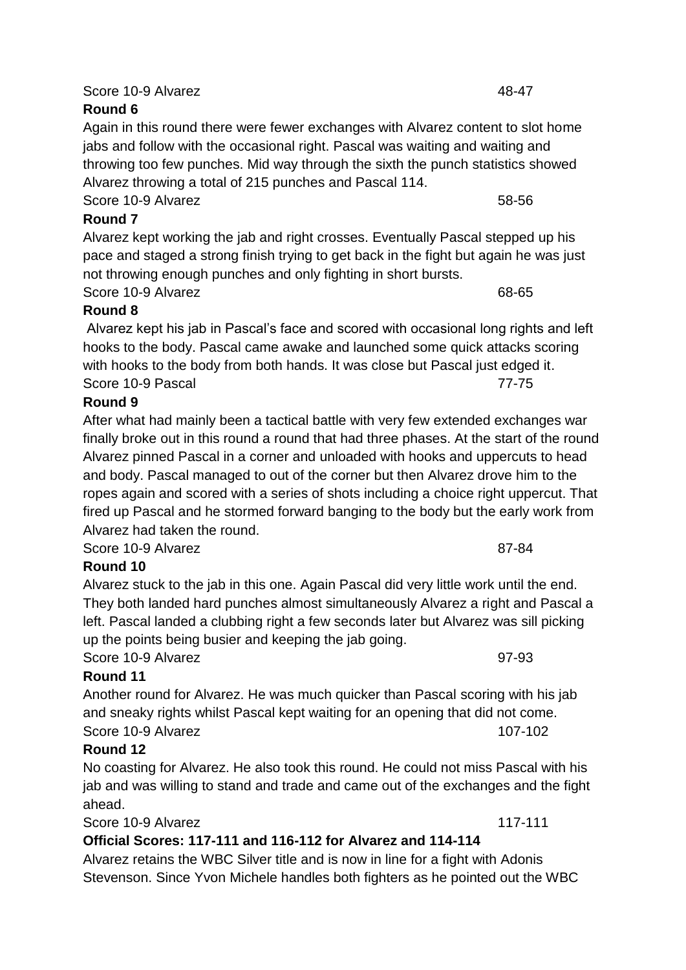Again in this round there were fewer exchanges with Alvarez content to slot home jabs and follow with the occasional right. Pascal was waiting and waiting and throwing too few punches. Mid way through the sixth the punch statistics showed Alvarez throwing a total of 215 punches and Pascal 114.

Score 10-9 Alvarez 58-56

**Round 7** Alvarez kept working the jab and right crosses. Eventually Pascal stepped up his pace and staged a strong finish trying to get back in the fight but again he was just

not throwing enough punches and only fighting in short bursts. Score 10-9 Alvarez 68-65

## **Round 8**

Alvarez kept his jab in Pascal's face and scored with occasional long rights and left hooks to the body. Pascal came awake and launched some quick attacks scoring with hooks to the body from both hands. It was close but Pascal just edged it. Score 10-9 Pascal 2001 12:00 12:00 12:00 12:00 12:00 12:00 12:00 12:00 12:00 12:00 12:00 12:00 12:00 12:00 12:0

## **Round 9**

After what had mainly been a tactical battle with very few extended exchanges war finally broke out in this round a round that had three phases. At the start of the round Alvarez pinned Pascal in a corner and unloaded with hooks and uppercuts to head and body. Pascal managed to out of the corner but then Alvarez drove him to the ropes again and scored with a series of shots including a choice right uppercut. That fired up Pascal and he stormed forward banging to the body but the early work from Alvarez had taken the round.

Score 10-9 Alvarez 87-84

## **Round 10**

Alvarez stuck to the jab in this one. Again Pascal did very little work until the end. They both landed hard punches almost simultaneously Alvarez a right and Pascal a left. Pascal landed a clubbing right a few seconds later but Alvarez was sill picking up the points being busier and keeping the jab going.

**Round 11** Another round for Alvarez. He was much quicker than Pascal scoring with his jab and sneaky rights whilst Pascal kept waiting for an opening that did not come. Score 10-9 Alvarez 107-102

## **Round 12**

No coasting for Alvarez. He also took this round. He could not miss Pascal with his jab and was willing to stand and trade and came out of the exchanges and the fight ahead.

Score 10-9 Alvarez 117-111

### **Official Scores: 117-111 and 116-112 for Alvarez and 114-114**

Alvarez retains the WBC Silver title and is now in line for a fight with Adonis Stevenson. Since Yvon Michele handles both fighters as he pointed out the WBC

Score 10-9 Alvarez 97-93

## Score 10-9 Alvarez 48-47

# **Round 6**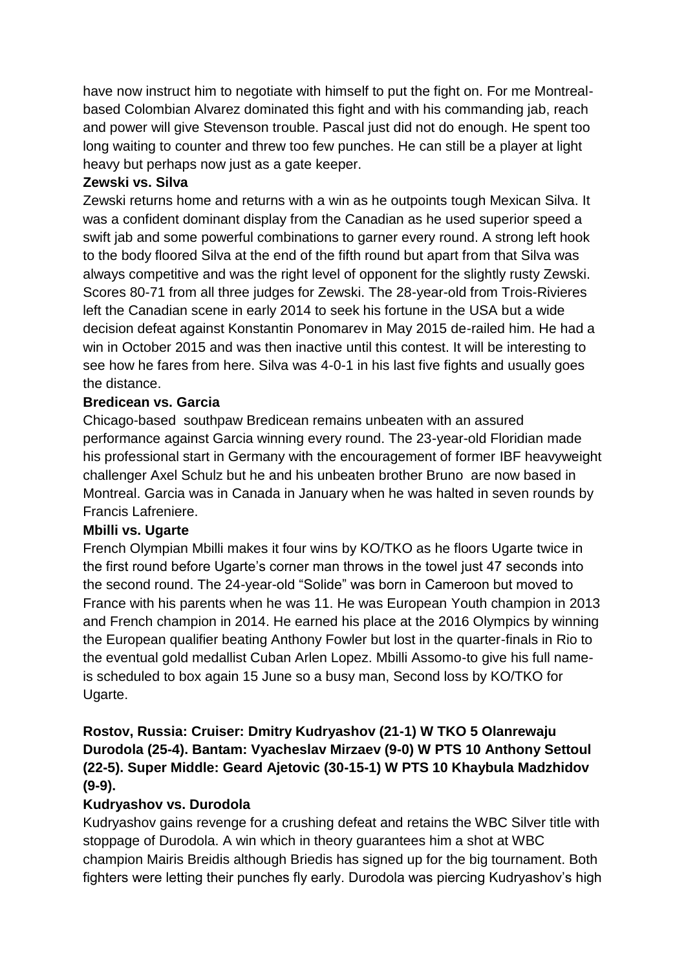have now instruct him to negotiate with himself to put the fight on. For me Montrealbased Colombian Alvarez dominated this fight and with his commanding jab, reach and power will give Stevenson trouble. Pascal just did not do enough. He spent too long waiting to counter and threw too few punches. He can still be a player at light heavy but perhaps now just as a gate keeper.

## **Zewski vs. Silva**

Zewski returns home and returns with a win as he outpoints tough Mexican Silva. It was a confident dominant display from the Canadian as he used superior speed a swift jab and some powerful combinations to garner every round. A strong left hook to the body floored Silva at the end of the fifth round but apart from that Silva was always competitive and was the right level of opponent for the slightly rusty Zewski. Scores 80-71 from all three judges for Zewski. The 28-year-old from Trois-Rivieres left the Canadian scene in early 2014 to seek his fortune in the USA but a wide decision defeat against Konstantin Ponomarev in May 2015 de-railed him. He had a win in October 2015 and was then inactive until this contest. It will be interesting to see how he fares from here. Silva was 4-0-1 in his last five fights and usually goes the distance.

## **Bredicean vs. Garcia**

Chicago-based southpaw Bredicean remains unbeaten with an assured performance against Garcia winning every round. The 23-year-old Floridian made his professional start in Germany with the encouragement of former IBF heavyweight challenger Axel Schulz but he and his unbeaten brother Bruno are now based in Montreal. Garcia was in Canada in January when he was halted in seven rounds by Francis Lafreniere.

## **Mbilli vs. Ugarte**

French Olympian Mbilli makes it four wins by KO/TKO as he floors Ugarte twice in the first round before Ugarte's corner man throws in the towel just 47 seconds into the second round. The 24-year-old "Solide" was born in Cameroon but moved to France with his parents when he was 11. He was European Youth champion in 2013 and French champion in 2014. He earned his place at the 2016 Olympics by winning the European qualifier beating Anthony Fowler but lost in the quarter-finals in Rio to the eventual gold medallist Cuban Arlen Lopez. Mbilli Assomo-to give his full nameis scheduled to box again 15 June so a busy man, Second loss by KO/TKO for Ugarte.

**Rostov, Russia: Cruiser: Dmitry Kudryashov (21-1) W TKO 5 Olanrewaju Durodola (25-4). Bantam: Vyacheslav Mirzaev (9-0) W PTS 10 Anthony Settoul (22-5). Super Middle: Geard Ajetovic (30-15-1) W PTS 10 Khaybula Madzhidov (9-9).**

## **Kudryashov vs. Durodola**

Kudryashov gains revenge for a crushing defeat and retains the WBC Silver title with stoppage of Durodola. A win which in theory guarantees him a shot at WBC champion Mairis Breidis although Briedis has signed up for the big tournament. Both fighters were letting their punches fly early. Durodola was piercing Kudryashov's high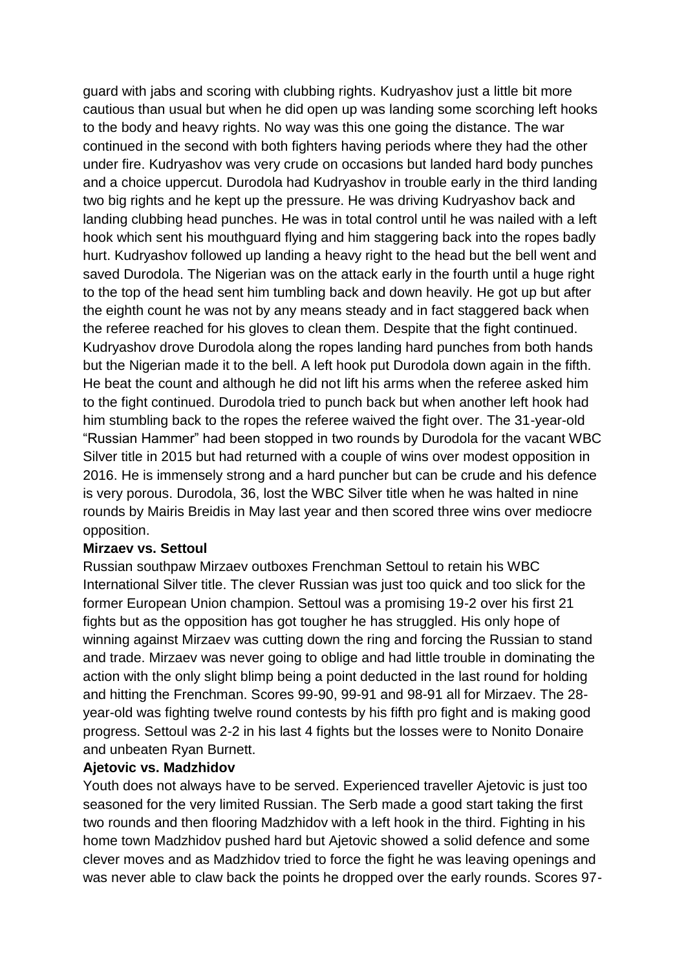guard with jabs and scoring with clubbing rights. Kudryashov just a little bit more cautious than usual but when he did open up was landing some scorching left hooks to the body and heavy rights. No way was this one going the distance. The war continued in the second with both fighters having periods where they had the other under fire. Kudryashov was very crude on occasions but landed hard body punches and a choice uppercut. Durodola had Kudryashov in trouble early in the third landing two big rights and he kept up the pressure. He was driving Kudryashov back and landing clubbing head punches. He was in total control until he was nailed with a left hook which sent his mouthguard flying and him staggering back into the ropes badly hurt. Kudryashov followed up landing a heavy right to the head but the bell went and saved Durodola. The Nigerian was on the attack early in the fourth until a huge right to the top of the head sent him tumbling back and down heavily. He got up but after the eighth count he was not by any means steady and in fact staggered back when the referee reached for his gloves to clean them. Despite that the fight continued. Kudryashov drove Durodola along the ropes landing hard punches from both hands but the Nigerian made it to the bell. A left hook put Durodola down again in the fifth. He beat the count and although he did not lift his arms when the referee asked him to the fight continued. Durodola tried to punch back but when another left hook had him stumbling back to the ropes the referee waived the fight over. The 31-year-old "Russian Hammer" had been stopped in two rounds by Durodola for the vacant WBC Silver title in 2015 but had returned with a couple of wins over modest opposition in 2016. He is immensely strong and a hard puncher but can be crude and his defence is very porous. Durodola, 36, lost the WBC Silver title when he was halted in nine rounds by Mairis Breidis in May last year and then scored three wins over mediocre opposition.

### **Mirzaev vs. Settoul**

Russian southpaw Mirzaev outboxes Frenchman Settoul to retain his WBC International Silver title. The clever Russian was just too quick and too slick for the former European Union champion. Settoul was a promising 19-2 over his first 21 fights but as the opposition has got tougher he has struggled. His only hope of winning against Mirzaev was cutting down the ring and forcing the Russian to stand and trade. Mirzaev was never going to oblige and had little trouble in dominating the action with the only slight blimp being a point deducted in the last round for holding and hitting the Frenchman. Scores 99-90, 99-91 and 98-91 all for Mirzaev. The 28 year-old was fighting twelve round contests by his fifth pro fight and is making good progress. Settoul was 2-2 in his last 4 fights but the losses were to Nonito Donaire and unbeaten Ryan Burnett.

### **Ajetovic vs. Madzhidov**

Youth does not always have to be served. Experienced traveller Ajetovic is just too seasoned for the very limited Russian. The Serb made a good start taking the first two rounds and then flooring Madzhidov with a left hook in the third. Fighting in his home town Madzhidov pushed hard but Ajetovic showed a solid defence and some clever moves and as Madzhidov tried to force the fight he was leaving openings and was never able to claw back the points he dropped over the early rounds. Scores 97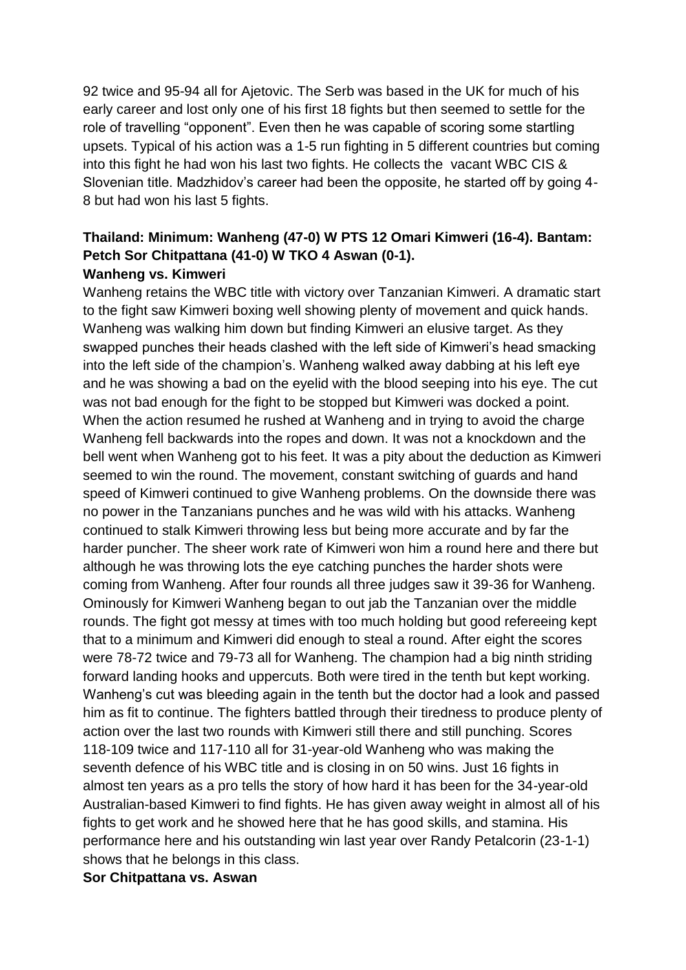92 twice and 95-94 all for Ajetovic. The Serb was based in the UK for much of his early career and lost only one of his first 18 fights but then seemed to settle for the role of travelling "opponent". Even then he was capable of scoring some startling upsets. Typical of his action was a 1-5 run fighting in 5 different countries but coming into this fight he had won his last two fights. He collects the vacant WBC CIS & Slovenian title. Madzhidov's career had been the opposite, he started off by going 4- 8 but had won his last 5 fights.

### **Thailand: Minimum: Wanheng (47-0) W PTS 12 Omari Kimweri (16-4). Bantam: Petch Sor Chitpattana (41-0) W TKO 4 Aswan (0-1). Wanheng vs. Kimweri**

Wanheng retains the WBC title with victory over Tanzanian Kimweri. A dramatic start to the fight saw Kimweri boxing well showing plenty of movement and quick hands. Wanheng was walking him down but finding Kimweri an elusive target. As they swapped punches their heads clashed with the left side of Kimweri's head smacking into the left side of the champion's. Wanheng walked away dabbing at his left eye and he was showing a bad on the eyelid with the blood seeping into his eye. The cut was not bad enough for the fight to be stopped but Kimweri was docked a point. When the action resumed he rushed at Wanheng and in trying to avoid the charge Wanheng fell backwards into the ropes and down. It was not a knockdown and the bell went when Wanheng got to his feet. It was a pity about the deduction as Kimweri seemed to win the round. The movement, constant switching of guards and hand speed of Kimweri continued to give Wanheng problems. On the downside there was no power in the Tanzanians punches and he was wild with his attacks. Wanheng continued to stalk Kimweri throwing less but being more accurate and by far the harder puncher. The sheer work rate of Kimweri won him a round here and there but although he was throwing lots the eye catching punches the harder shots were coming from Wanheng. After four rounds all three judges saw it 39-36 for Wanheng. Ominously for Kimweri Wanheng began to out jab the Tanzanian over the middle rounds. The fight got messy at times with too much holding but good refereeing kept that to a minimum and Kimweri did enough to steal a round. After eight the scores were 78-72 twice and 79-73 all for Wanheng. The champion had a big ninth striding forward landing hooks and uppercuts. Both were tired in the tenth but kept working. Wanheng's cut was bleeding again in the tenth but the doctor had a look and passed him as fit to continue. The fighters battled through their tiredness to produce plenty of action over the last two rounds with Kimweri still there and still punching. Scores 118-109 twice and 117-110 all for 31-year-old Wanheng who was making the seventh defence of his WBC title and is closing in on 50 wins. Just 16 fights in almost ten years as a pro tells the story of how hard it has been for the 34-year-old Australian-based Kimweri to find fights. He has given away weight in almost all of his fights to get work and he showed here that he has good skills, and stamina. His performance here and his outstanding win last year over Randy Petalcorin (23-1-1) shows that he belongs in this class.

**Sor Chitpattana vs. Aswan**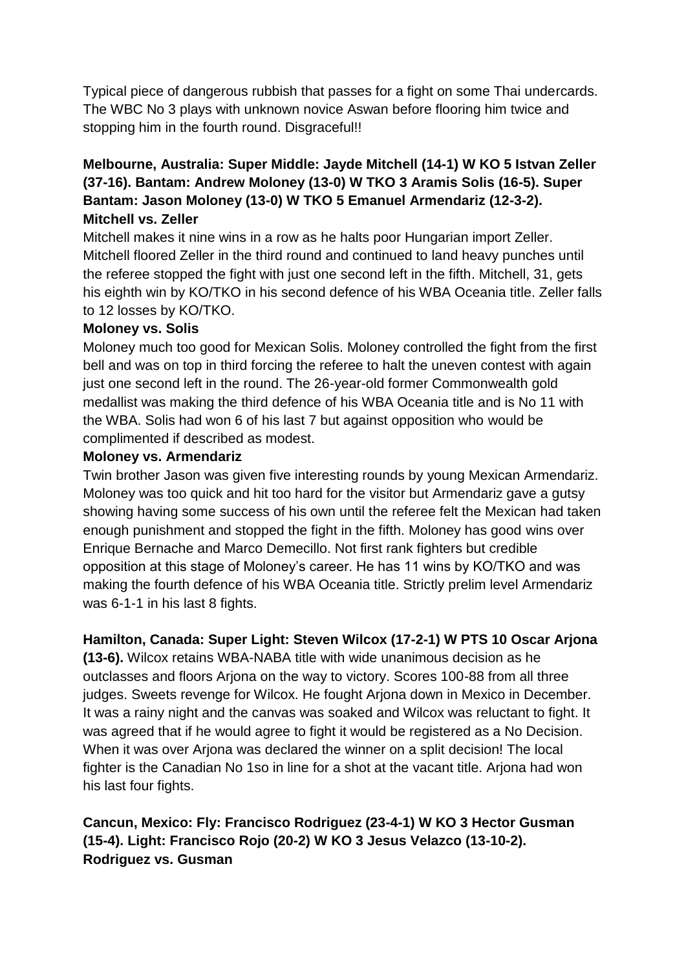Typical piece of dangerous rubbish that passes for a fight on some Thai undercards. The WBC No 3 plays with unknown novice Aswan before flooring him twice and stopping him in the fourth round. Disgraceful!!

## **Melbourne, Australia: Super Middle: Jayde Mitchell (14-1) W KO 5 Istvan Zeller (37-16). Bantam: Andrew Moloney (13-0) W TKO 3 Aramis Solis (16-5). Super Bantam: Jason Moloney (13-0) W TKO 5 Emanuel Armendariz (12-3-2). Mitchell vs. Zeller**

Mitchell makes it nine wins in a row as he halts poor Hungarian import Zeller. Mitchell floored Zeller in the third round and continued to land heavy punches until the referee stopped the fight with just one second left in the fifth. Mitchell, 31, gets his eighth win by KO/TKO in his second defence of his WBA Oceania title. Zeller falls to 12 losses by KO/TKO.

## **Moloney vs. Solis**

Moloney much too good for Mexican Solis. Moloney controlled the fight from the first bell and was on top in third forcing the referee to halt the uneven contest with again just one second left in the round. The 26-year-old former Commonwealth gold medallist was making the third defence of his WBA Oceania title and is No 11 with the WBA. Solis had won 6 of his last 7 but against opposition who would be complimented if described as modest.

## **Moloney vs. Armendariz**

Twin brother Jason was given five interesting rounds by young Mexican Armendariz. Moloney was too quick and hit too hard for the visitor but Armendariz gave a gutsy showing having some success of his own until the referee felt the Mexican had taken enough punishment and stopped the fight in the fifth. Moloney has good wins over Enrique Bernache and Marco Demecillo. Not first rank fighters but credible opposition at this stage of Moloney's career. He has 11 wins by KO/TKO and was making the fourth defence of his WBA Oceania title. Strictly prelim level Armendariz was 6-1-1 in his last 8 fights.

## **Hamilton, Canada: Super Light: Steven Wilcox (17-2-1) W PTS 10 Oscar Arjona**

**(13-6).** Wilcox retains WBA-NABA title with wide unanimous decision as he outclasses and floors Arjona on the way to victory. Scores 100-88 from all three judges. Sweets revenge for Wilcox. He fought Arjona down in Mexico in December. It was a rainy night and the canvas was soaked and Wilcox was reluctant to fight. It was agreed that if he would agree to fight it would be registered as a No Decision. When it was over Arjona was declared the winner on a split decision! The local fighter is the Canadian No 1so in line for a shot at the vacant title. Arjona had won his last four fights.

## **Cancun, Mexico: Fly: Francisco Rodriguez (23-4-1) W KO 3 Hector Gusman (15-4). Light: Francisco Rojo (20-2) W KO 3 Jesus Velazco (13-10-2). Rodriguez vs. Gusman**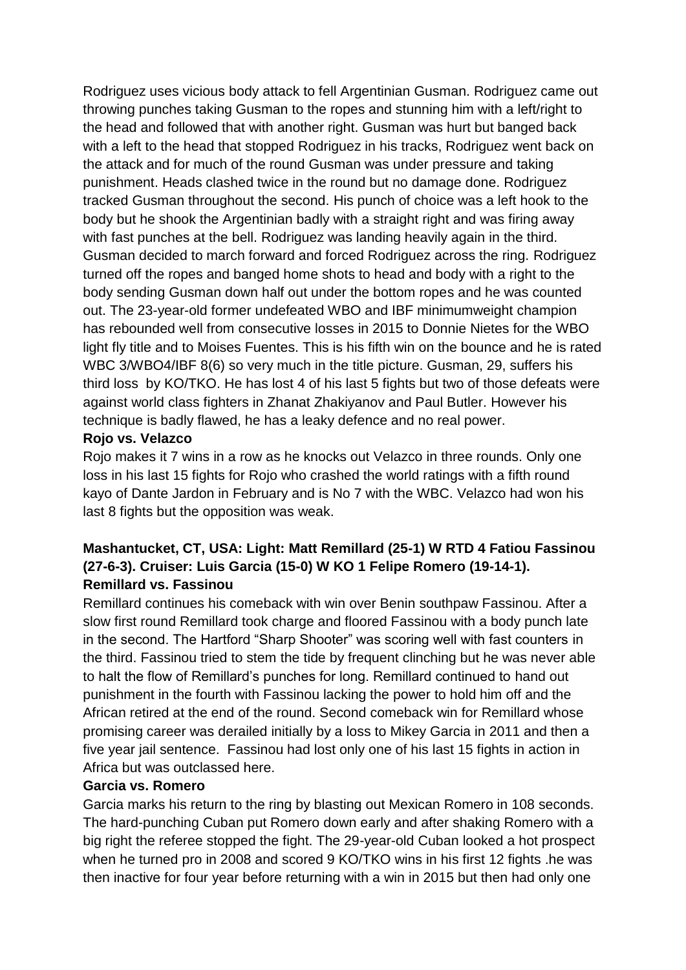Rodriguez uses vicious body attack to fell Argentinian Gusman. Rodriguez came out throwing punches taking Gusman to the ropes and stunning him with a left/right to the head and followed that with another right. Gusman was hurt but banged back with a left to the head that stopped Rodriguez in his tracks, Rodriguez went back on the attack and for much of the round Gusman was under pressure and taking punishment. Heads clashed twice in the round but no damage done. Rodriguez tracked Gusman throughout the second. His punch of choice was a left hook to the body but he shook the Argentinian badly with a straight right and was firing away with fast punches at the bell. Rodriguez was landing heavily again in the third. Gusman decided to march forward and forced Rodriguez across the ring. Rodriguez turned off the ropes and banged home shots to head and body with a right to the body sending Gusman down half out under the bottom ropes and he was counted out. The 23-year-old former undefeated WBO and IBF minimumweight champion has rebounded well from consecutive losses in 2015 to Donnie Nietes for the WBO light fly title and to Moises Fuentes. This is his fifth win on the bounce and he is rated WBC 3/WBO4/IBF 8(6) so very much in the title picture. Gusman, 29, suffers his third loss by KO/TKO. He has lost 4 of his last 5 fights but two of those defeats were against world class fighters in Zhanat Zhakiyanov and Paul Butler. However his technique is badly flawed, he has a leaky defence and no real power.

### **Rojo vs. Velazco**

Rojo makes it 7 wins in a row as he knocks out Velazco in three rounds. Only one loss in his last 15 fights for Rojo who crashed the world ratings with a fifth round kayo of Dante Jardon in February and is No 7 with the WBC. Velazco had won his last 8 fights but the opposition was weak.

## **Mashantucket, CT, USA: Light: Matt Remillard (25-1) W RTD 4 Fatiou Fassinou (27-6-3). Cruiser: Luis Garcia (15-0) W KO 1 Felipe Romero (19-14-1). Remillard vs. Fassinou**

Remillard continues his comeback with win over Benin southpaw Fassinou. After a slow first round Remillard took charge and floored Fassinou with a body punch late in the second. The Hartford "Sharp Shooter" was scoring well with fast counters in the third. Fassinou tried to stem the tide by frequent clinching but he was never able to halt the flow of Remillard's punches for long. Remillard continued to hand out punishment in the fourth with Fassinou lacking the power to hold him off and the African retired at the end of the round. Second comeback win for Remillard whose promising career was derailed initially by a loss to Mikey Garcia in 2011 and then a five year jail sentence. Fassinou had lost only one of his last 15 fights in action in Africa but was outclassed here.

## **Garcia vs. Romero**

Garcia marks his return to the ring by blasting out Mexican Romero in 108 seconds. The hard-punching Cuban put Romero down early and after shaking Romero with a big right the referee stopped the fight. The 29-year-old Cuban looked a hot prospect when he turned pro in 2008 and scored 9 KO/TKO wins in his first 12 fights .he was then inactive for four year before returning with a win in 2015 but then had only one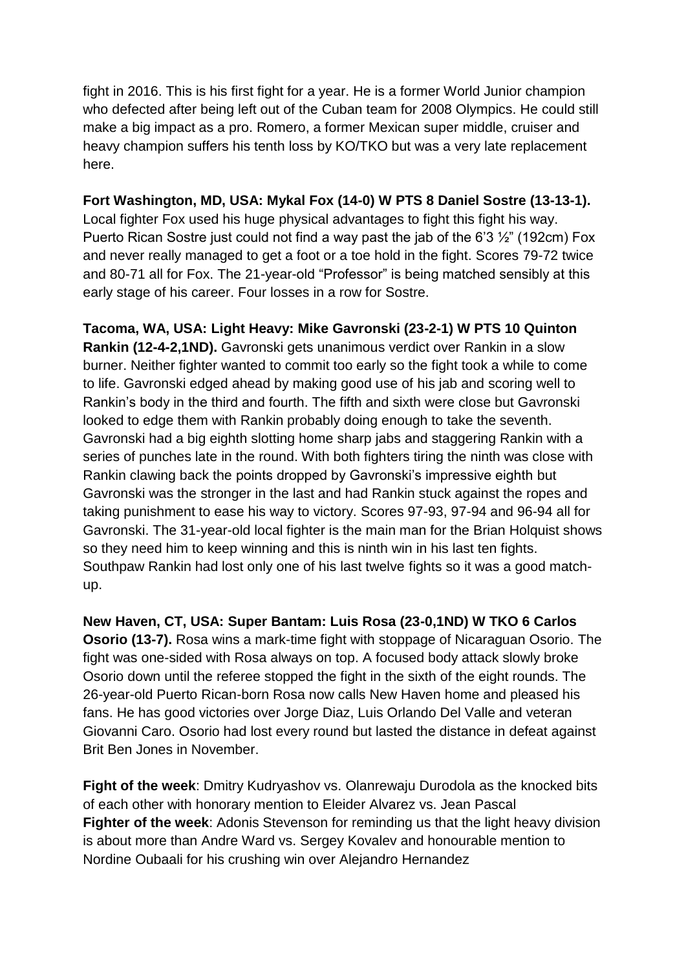fight in 2016. This is his first fight for a year. He is a former World Junior champion who defected after being left out of the Cuban team for 2008 Olympics. He could still make a big impact as a pro. Romero, a former Mexican super middle, cruiser and heavy champion suffers his tenth loss by KO/TKO but was a very late replacement here.

### **Fort Washington, MD, USA: Mykal Fox (14-0) W PTS 8 Daniel Sostre (13-13-1).**

Local fighter Fox used his huge physical advantages to fight this fight his way. Puerto Rican Sostre just could not find a way past the jab of the 6'3 ½" (192cm) Fox and never really managed to get a foot or a toe hold in the fight. Scores 79-72 twice and 80-71 all for Fox. The 21-year-old "Professor" is being matched sensibly at this early stage of his career. Four losses in a row for Sostre.

**Tacoma, WA, USA: Light Heavy: Mike Gavronski (23-2-1) W PTS 10 Quinton Rankin (12-4-2,1ND).** Gavronski gets unanimous verdict over Rankin in a slow burner. Neither fighter wanted to commit too early so the fight took a while to come to life. Gavronski edged ahead by making good use of his jab and scoring well to Rankin's body in the third and fourth. The fifth and sixth were close but Gavronski looked to edge them with Rankin probably doing enough to take the seventh. Gavronski had a big eighth slotting home sharp jabs and staggering Rankin with a series of punches late in the round. With both fighters tiring the ninth was close with Rankin clawing back the points dropped by Gavronski's impressive eighth but Gavronski was the stronger in the last and had Rankin stuck against the ropes and taking punishment to ease his way to victory. Scores 97-93, 97-94 and 96-94 all for Gavronski. The 31-year-old local fighter is the main man for the Brian Holquist shows so they need him to keep winning and this is ninth win in his last ten fights. Southpaw Rankin had lost only one of his last twelve fights so it was a good matchup.

**New Haven, CT, USA: Super Bantam: Luis Rosa (23-0,1ND) W TKO 6 Carlos Osorio (13-7).** Rosa wins a mark-time fight with stoppage of Nicaraguan Osorio. The fight was one-sided with Rosa always on top. A focused body attack slowly broke Osorio down until the referee stopped the fight in the sixth of the eight rounds. The 26-year-old Puerto Rican-born Rosa now calls New Haven home and pleased his fans. He has good victories over Jorge Diaz, Luis Orlando Del Valle and veteran Giovanni Caro. Osorio had lost every round but lasted the distance in defeat against Brit Ben Jones in November.

**Fight of the week**: Dmitry Kudryashov vs. Olanrewaju Durodola as the knocked bits of each other with honorary mention to Eleider Alvarez vs. Jean Pascal **Fighter of the week**: Adonis Stevenson for reminding us that the light heavy division is about more than Andre Ward vs. Sergey Kovalev and honourable mention to Nordine Oubaali for his crushing win over Alejandro Hernandez